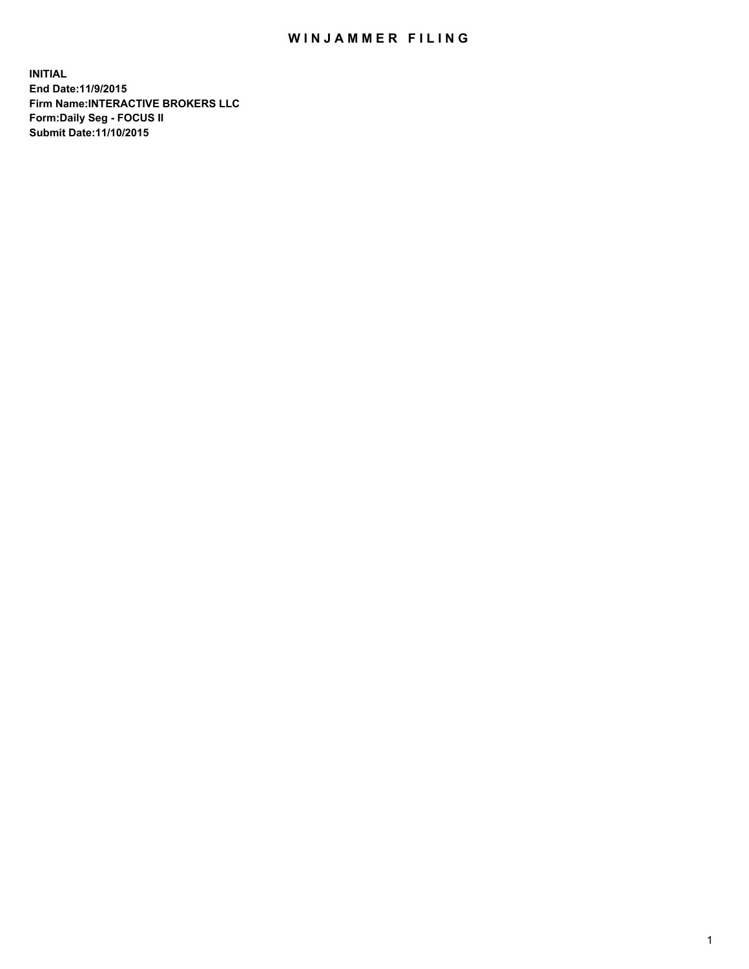## WIN JAMMER FILING

**INITIAL End Date:11/9/2015 Firm Name:INTERACTIVE BROKERS LLC Form:Daily Seg - FOCUS II Submit Date:11/10/2015**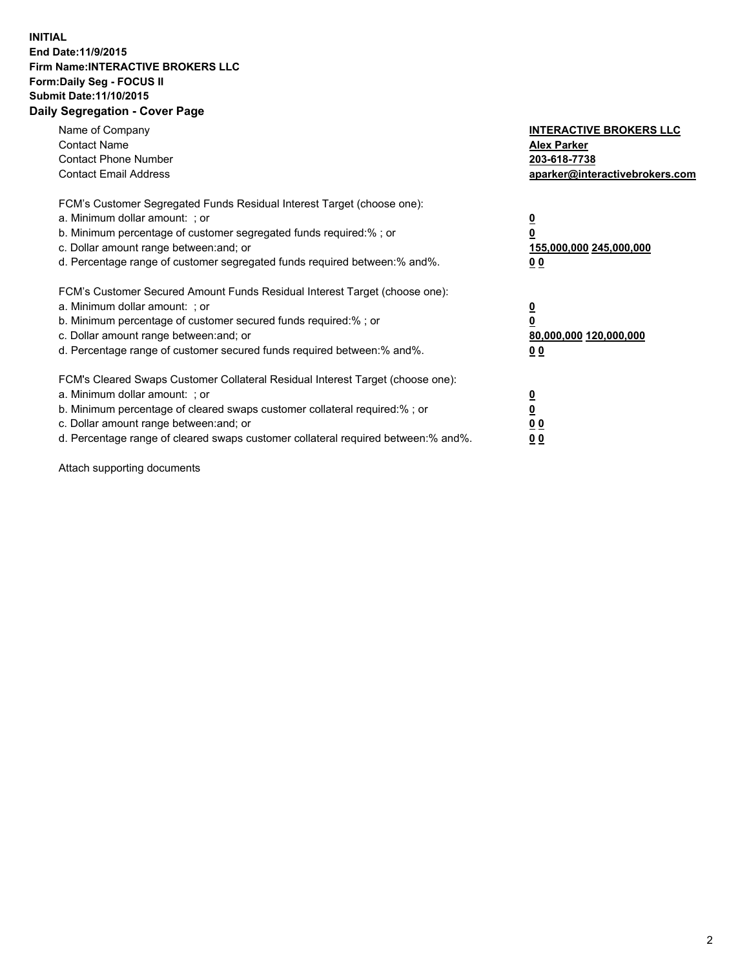## **INITIAL End Date:11/9/2015 Firm Name:INTERACTIVE BROKERS LLC Form:Daily Seg - FOCUS II Submit Date:11/10/2015 Daily Segregation - Cover Page**

| Name of Company<br><b>Contact Name</b><br><b>Contact Phone Number</b><br><b>Contact Email Address</b>                                                                                                                                                                                                                         | <b>INTERACTIVE BROKERS LLC</b><br><b>Alex Parker</b><br>203-618-7738<br>aparker@interactivebrokers.com |
|-------------------------------------------------------------------------------------------------------------------------------------------------------------------------------------------------------------------------------------------------------------------------------------------------------------------------------|--------------------------------------------------------------------------------------------------------|
| FCM's Customer Segregated Funds Residual Interest Target (choose one):<br>a. Minimum dollar amount: ; or<br>b. Minimum percentage of customer segregated funds required:% ; or<br>c. Dollar amount range between: and; or<br>d. Percentage range of customer segregated funds required between:% and%.                        | <u>0</u><br><u>155,000,000 245,000,000</u><br>00                                                       |
| FCM's Customer Secured Amount Funds Residual Interest Target (choose one):<br>a. Minimum dollar amount: ; or<br>b. Minimum percentage of customer secured funds required:% ; or<br>c. Dollar amount range between: and; or<br>d. Percentage range of customer secured funds required between: % and %.                        | $\overline{\mathbf{0}}$<br>80,000,000 120,000,000<br>00                                                |
| FCM's Cleared Swaps Customer Collateral Residual Interest Target (choose one):<br>a. Minimum dollar amount: ; or<br>b. Minimum percentage of cleared swaps customer collateral required:%; or<br>c. Dollar amount range between: and; or<br>d. Percentage range of cleared swaps customer collateral required between:% and%. | <u>0</u><br>0 <sub>0</sub><br><u>00</u>                                                                |

Attach supporting documents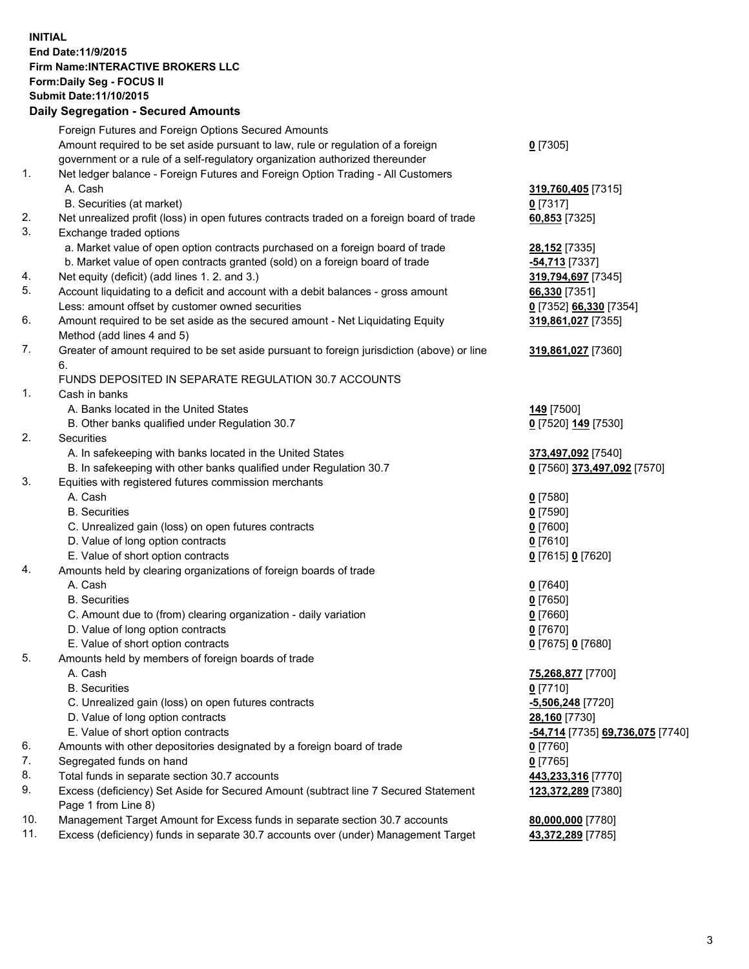## **INITIAL End Date:11/9/2015 Firm Name:INTERACTIVE BROKERS LLC Form:Daily Seg - FOCUS II Submit Date:11/10/2015 Daily Segregation - Secured Amounts**

|     | Daily Segregation - Secured Amounts                                                         |                                  |
|-----|---------------------------------------------------------------------------------------------|----------------------------------|
|     | Foreign Futures and Foreign Options Secured Amounts                                         |                                  |
|     | Amount required to be set aside pursuant to law, rule or regulation of a foreign            | $0$ [7305]                       |
|     | government or a rule of a self-regulatory organization authorized thereunder                |                                  |
| 1.  | Net ledger balance - Foreign Futures and Foreign Option Trading - All Customers             |                                  |
|     | A. Cash                                                                                     |                                  |
|     |                                                                                             | 319,760,405 [7315]               |
|     | B. Securities (at market)                                                                   | $0$ [7317]                       |
| 2.  | Net unrealized profit (loss) in open futures contracts traded on a foreign board of trade   | 60,853 [7325]                    |
| 3.  | Exchange traded options                                                                     |                                  |
|     | a. Market value of open option contracts purchased on a foreign board of trade              | 28,152 [7335]                    |
|     | b. Market value of open contracts granted (sold) on a foreign board of trade                | -54,713 [7337]                   |
| 4.  | Net equity (deficit) (add lines 1. 2. and 3.)                                               | 319,794,697 [7345]               |
| 5.  | Account liquidating to a deficit and account with a debit balances - gross amount           | 66,330 [7351]                    |
|     | Less: amount offset by customer owned securities                                            | 0 [7352] 66,330 [7354]           |
| 6.  | Amount required to be set aside as the secured amount - Net Liquidating Equity              | 319,861,027 [7355]               |
|     | Method (add lines 4 and 5)                                                                  |                                  |
| 7.  | Greater of amount required to be set aside pursuant to foreign jurisdiction (above) or line | 319,861,027 [7360]               |
|     | 6.                                                                                          |                                  |
|     | FUNDS DEPOSITED IN SEPARATE REGULATION 30.7 ACCOUNTS                                        |                                  |
| 1.  | Cash in banks                                                                               |                                  |
|     | A. Banks located in the United States                                                       | <b>149</b> [7500]                |
|     | B. Other banks qualified under Regulation 30.7                                              | 0 [7520] 149 [7530]              |
| 2.  | <b>Securities</b>                                                                           |                                  |
|     | A. In safekeeping with banks located in the United States                                   | 373,497,092 [7540]               |
|     | B. In safekeeping with other banks qualified under Regulation 30.7                          | 0 [7560] 373,497,092 [7570]      |
| 3.  | Equities with registered futures commission merchants                                       |                                  |
|     | A. Cash                                                                                     | $0$ [7580]                       |
|     | <b>B.</b> Securities                                                                        | $0$ [7590]                       |
|     | C. Unrealized gain (loss) on open futures contracts                                         | $0$ [7600]                       |
|     | D. Value of long option contracts                                                           | $0$ [7610]                       |
|     | E. Value of short option contracts                                                          | 0 [7615] 0 [7620]                |
| 4.  | Amounts held by clearing organizations of foreign boards of trade                           |                                  |
|     | A. Cash                                                                                     |                                  |
|     | <b>B.</b> Securities                                                                        | $0$ [7640]                       |
|     |                                                                                             | $0$ [7650]                       |
|     | C. Amount due to (from) clearing organization - daily variation                             | $0$ [7660]                       |
|     | D. Value of long option contracts                                                           | $0$ [7670]                       |
|     | E. Value of short option contracts                                                          | 0 [7675] 0 [7680]                |
| 5.  | Amounts held by members of foreign boards of trade                                          |                                  |
|     | A. Cash                                                                                     | 75,268,877 [7700]                |
|     | <b>B.</b> Securities                                                                        | $0$ [7710]                       |
|     | C. Unrealized gain (loss) on open futures contracts                                         | $-5,506,248$ [7720]              |
|     | D. Value of long option contracts                                                           | 28,160 [7730]                    |
|     | E. Value of short option contracts                                                          | -54,714 [7735] 69,736,075 [7740] |
| 6.  | Amounts with other depositories designated by a foreign board of trade                      | 0 [7760]                         |
| 7.  | Segregated funds on hand                                                                    | $0$ [7765]                       |
| 8.  | Total funds in separate section 30.7 accounts                                               | 443,233,316 [7770]               |
| 9.  | Excess (deficiency) Set Aside for Secured Amount (subtract line 7 Secured Statement         | 123,372,289 [7380]               |
|     | Page 1 from Line 8)                                                                         |                                  |
| 10. | Management Target Amount for Excess funds in separate section 30.7 accounts                 | 80,000,000 [7780]                |
| 11. | Excess (deficiency) funds in separate 30.7 accounts over (under) Management Target          | 43,372,289 [7785]                |
|     |                                                                                             |                                  |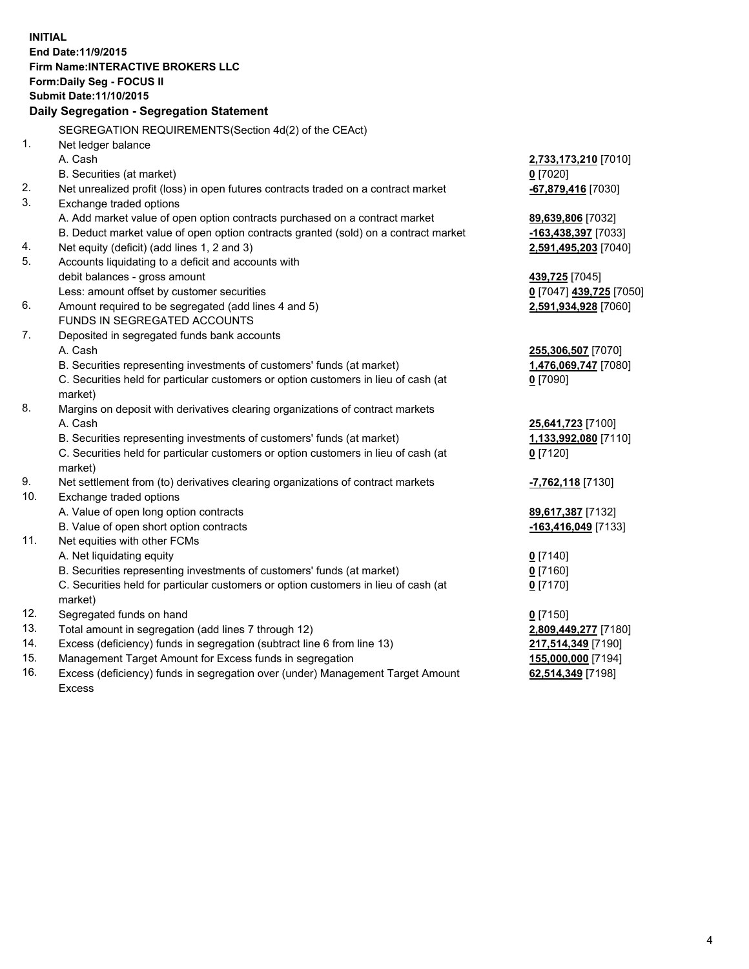**INITIAL End Date:11/9/2015 Firm Name:INTERACTIVE BROKERS LLC Form:Daily Seg - FOCUS II Submit Date:11/10/2015 Daily Segregation - Segregation Statement** SEGREGATION REQUIREMENTS(Section 4d(2) of the CEAct) 1. Net ledger balance A. Cash **2,733,173,210** [7010] B. Securities (at market) **0** [7020] 2. Net unrealized profit (loss) in open futures contracts traded on a contract market **-67,879,416** [7030] 3. Exchange traded options A. Add market value of open option contracts purchased on a contract market **89,639,806** [7032] B. Deduct market value of open option contracts granted (sold) on a contract market **-163,438,397** [7033] 4. Net equity (deficit) (add lines 1, 2 and 3) **2,591,495,203** [7040] 5. Accounts liquidating to a deficit and accounts with debit balances - gross amount **439,725** [7045] Less: amount offset by customer securities **0** [7047] **439,725** [7050] 6. Amount required to be segregated (add lines 4 and 5) **2,591,934,928** [7060] FUNDS IN SEGREGATED ACCOUNTS 7. Deposited in segregated funds bank accounts A. Cash **255,306,507** [7070] B. Securities representing investments of customers' funds (at market) **1,476,069,747** [7080] C. Securities held for particular customers or option customers in lieu of cash (at market) **0** [7090] 8. Margins on deposit with derivatives clearing organizations of contract markets A. Cash **25,641,723** [7100] B. Securities representing investments of customers' funds (at market) **1,133,992,080** [7110] C. Securities held for particular customers or option customers in lieu of cash (at market) **0** [7120] 9. Net settlement from (to) derivatives clearing organizations of contract markets **-7,762,118** [7130] 10. Exchange traded options A. Value of open long option contracts **89,617,387** [7132] B. Value of open short option contracts **-163,416,049** [7133] 11. Net equities with other FCMs A. Net liquidating equity **0** [7140] B. Securities representing investments of customers' funds (at market) **0** [7160] C. Securities held for particular customers or option customers in lieu of cash (at market) **0** [7170] 12. Segregated funds on hand **0** [7150] 13. Total amount in segregation (add lines 7 through 12) **2,809,449,277** [7180] 14. Excess (deficiency) funds in segregation (subtract line 6 from line 13) **217,514,349** [7190] 15. Management Target Amount for Excess funds in segregation **155,000,000** [7194]

16. Excess (deficiency) funds in segregation over (under) Management Target Amount Excess

**62,514,349** [7198]